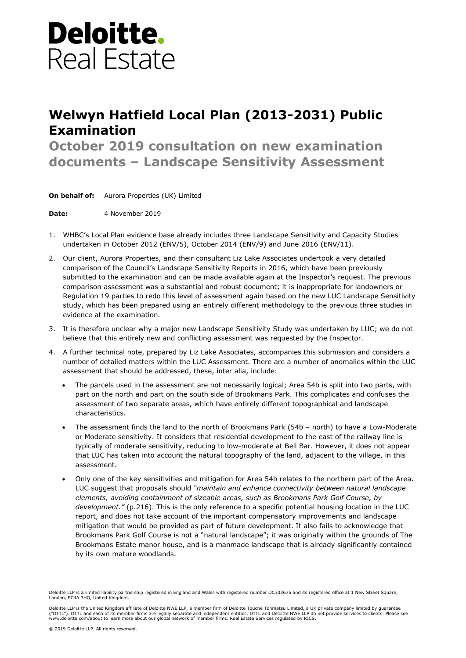## **Deloitte.** Real Estate

## **Welwyn Hatfield Local Plan (2013-2031) Public Examination**

**October 2019 consultation on new examination documents – Landscape Sensitivity Assessment**

**On behalf of:** Aurora Properties (UK) Limited

**Date:** 4 November 2019

- 1. WHBC's Local Plan evidence base already includes three Landscape Sensitivity and Capacity Studies undertaken in October 2012 (ENV/5), October 2014 (ENV/9) and June 2016 (ENV/11).
- 2. Our client, Aurora Properties, and their consultant Liz Lake Associates undertook a very detailed comparison of the Council's Landscape Sensitivity Reports in 2016, which have been previously submitted to the examination and can be made available again at the Inspector's request. The previous comparison assessment was a substantial and robust document; it is inappropriate for landowners or Regulation 19 parties to redo this level of assessment again based on the new LUC Landscape Sensitivity study, which has been prepared using an entirely different methodology to the previous three studies in evidence at the examination.
- 3. It is therefore unclear why a major new Landscape Sensitivity Study was undertaken by LUC; we do not believe that this entirely new and conflicting assessment was requested by the Inspector.
- 4. A further technical note, prepared by Liz Lake Associates, accompanies this submission and considers a number of detailed matters within the LUC Assessment. There are a number of anomalies within the LUC assessment that should be addressed, these, inter alia, include:
	- The parcels used in the assessment are not necessarily logical; Area 54b is split into two parts, with part on the north and part on the south side of Brookmans Park. This complicates and confuses the assessment of two separate areas, which have entirely different topographical and landscape characteristics.
	- The assessment finds the land to the north of Brookmans Park (54b north) to have a Low-Moderate or Moderate sensitivity. It considers that residential development to the east of the railway line is typically of moderate sensitivity, reducing to low-moderate at Bell Bar. However, it does not appear that LUC has taken into account the natural topography of the land, adjacent to the village, in this assessment.
	- Only one of the key sensitivities and mitigation for Area 54b relates to the northern part of the Area. LUC suggest that proposals should *"maintain and enhance connectivity between natural landscape elements, avoiding containment of sizeable areas, such as Brookmans Park Golf Course, by development."* (p.216). This is the only reference to a specific potential housing location in the LUC report, and does not take account of the important compensatory improvements and landscape mitigation that would be provided as part of future development. It also fails to acknowledge that Brookmans Park Golf Course is not a "natural landscape"; it was originally within the grounds of The Brookmans Estate manor house, and is a manmade landscape that is already significantly contained by its own mature woodlands.

Deloitte LLP is a limited liability partnership registered in England and Wales with registered number OC303675 and its registered office at 1 New Street Square, London, EC4A 3HQ, United Kingdom.

Deloitte LLP is the United Kingdom affiliate of Deloitte NWE LLP, a member firm of Deloitte Touche Tohmatsu Limited, a UK private company limited by guarantee ("DTTL"). DTTL and each of its member firms are legally separate and independent entities. DTTL and Deloitte NWE LLP do not provide services to clients. Please see<br>www.deloitte.com/about to learn more about our global netw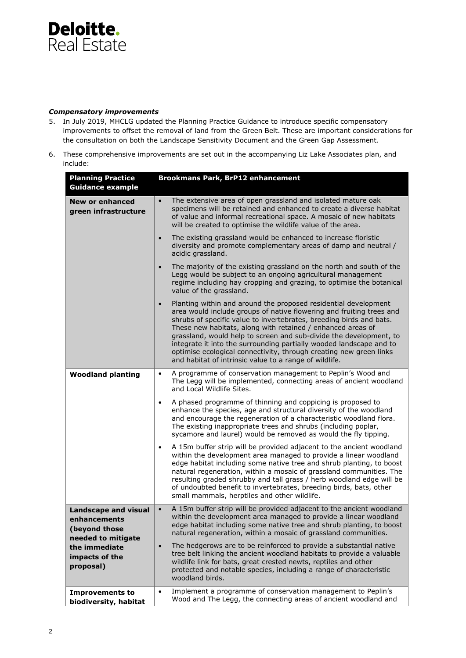

## *Compensatory improvements*

- 5. In July 2019, MHCLG updated the Planning Practice Guidance to introduce specific compensatory improvements to offset the removal of land from the Green Belt. These are important considerations for the consultation on both the Landscape Sensitivity Document and the Green Gap Assessment.
- 6. These comprehensive improvements are set out in the accompanying Liz Lake Associates plan, and include:

| <b>Planning Practice</b>                                                                                                           | <b>Brookmans Park, BrP12 enhancement</b>                                                                                                                                                                                                                                                                                                                                                                                                                                                                                                                                |
|------------------------------------------------------------------------------------------------------------------------------------|-------------------------------------------------------------------------------------------------------------------------------------------------------------------------------------------------------------------------------------------------------------------------------------------------------------------------------------------------------------------------------------------------------------------------------------------------------------------------------------------------------------------------------------------------------------------------|
| <b>Guidance example</b>                                                                                                            |                                                                                                                                                                                                                                                                                                                                                                                                                                                                                                                                                                         |
| <b>New or enhanced</b><br>green infrastructure                                                                                     | The extensive area of open grassland and isolated mature oak<br>$\bullet$<br>specimens will be retained and enhanced to create a diverse habitat<br>of value and informal recreational space. A mosaic of new habitats<br>will be created to optimise the wildlife value of the area.                                                                                                                                                                                                                                                                                   |
|                                                                                                                                    | The existing grassland would be enhanced to increase floristic<br>$\bullet$<br>diversity and promote complementary areas of damp and neutral /<br>acidic grassland.                                                                                                                                                                                                                                                                                                                                                                                                     |
|                                                                                                                                    | The majority of the existing grassland on the north and south of the<br>$\bullet$<br>Legg would be subject to an ongoing agricultural management<br>regime including hay cropping and grazing, to optimise the botanical<br>value of the grassland.                                                                                                                                                                                                                                                                                                                     |
|                                                                                                                                    | Planting within and around the proposed residential development<br>$\bullet$<br>area would include groups of native flowering and fruiting trees and<br>shrubs of specific value to invertebrates, breeding birds and bats.<br>These new habitats, along with retained / enhanced areas of<br>grassland, would help to screen and sub-divide the development, to<br>integrate it into the surrounding partially wooded landscape and to<br>optimise ecological connectivity, through creating new green links<br>and habitat of intrinsic value to a range of wildlife. |
| <b>Woodland planting</b>                                                                                                           | A programme of conservation management to Peplin's Wood and<br>$\bullet$<br>The Legg will be implemented, connecting areas of ancient woodland<br>and Local Wildlife Sites.                                                                                                                                                                                                                                                                                                                                                                                             |
|                                                                                                                                    | A phased programme of thinning and coppicing is proposed to<br>$\bullet$<br>enhance the species, age and structural diversity of the woodland<br>and encourage the regeneration of a characteristic woodland flora.<br>The existing inappropriate trees and shrubs (including poplar,<br>sycamore and laurel) would be removed as would the fly tipping.                                                                                                                                                                                                                |
|                                                                                                                                    | A 15m buffer strip will be provided adjacent to the ancient woodland<br>$\bullet$<br>within the development area managed to provide a linear woodland<br>edge habitat including some native tree and shrub planting, to boost<br>natural regeneration, within a mosaic of grassland communities. The<br>resulting graded shrubby and tall grass / herb woodland edge will be<br>of undoubted benefit to invertebrates, breeding birds, bats, other<br>small mammals, herptiles and other wildlife.                                                                      |
| <b>Landscape and visual</b><br>enhancements<br>(beyond those<br>needed to mitigate<br>the immediate<br>impacts of the<br>proposal) | A 15m buffer strip will be provided adjacent to the ancient woodland<br>$\bullet$<br>within the development area managed to provide a linear woodland<br>edge habitat including some native tree and shrub planting, to boost<br>natural regeneration, within a mosaic of grassland communities.                                                                                                                                                                                                                                                                        |
|                                                                                                                                    | The hedgerows are to be reinforced to provide a substantial native<br>$\bullet$<br>tree belt linking the ancient woodland habitats to provide a valuable<br>wildlife link for bats, great crested newts, reptiles and other<br>protected and notable species, including a range of characteristic<br>woodland birds.                                                                                                                                                                                                                                                    |
| <b>Improvements to</b><br>biodiversity, habitat                                                                                    | Implement a programme of conservation management to Peplin's<br>$\bullet$<br>Wood and The Legg, the connecting areas of ancient woodland and                                                                                                                                                                                                                                                                                                                                                                                                                            |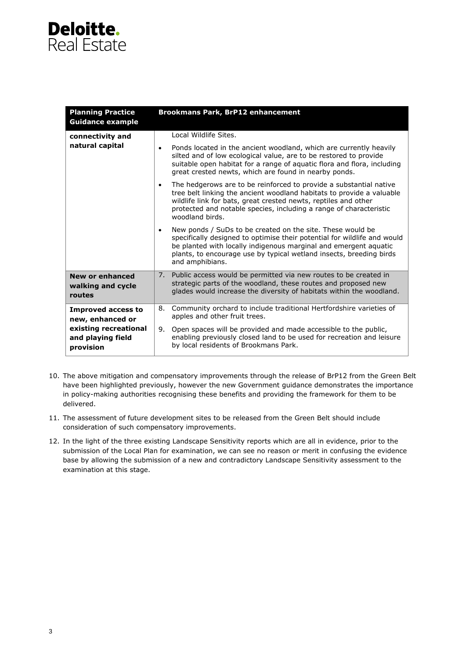## **Deloitte.** Real Estate

| <b>Planning Practice</b><br><b>Guidance example</b>                                                      | <b>Brookmans Park, BrP12 enhancement</b>                                                                                                                                                                                                                                                                             |
|----------------------------------------------------------------------------------------------------------|----------------------------------------------------------------------------------------------------------------------------------------------------------------------------------------------------------------------------------------------------------------------------------------------------------------------|
| connectivity and<br>natural capital                                                                      | Local Wildlife Sites.                                                                                                                                                                                                                                                                                                |
|                                                                                                          | Ponds located in the ancient woodland, which are currently heavily<br>$\bullet$<br>silted and of low ecological value, are to be restored to provide<br>suitable open habitat for a range of aquatic flora and flora, including<br>great crested newts, which are found in nearby ponds.                             |
|                                                                                                          | The hedgerows are to be reinforced to provide a substantial native<br>$\bullet$<br>tree belt linking the ancient woodland habitats to provide a valuable<br>wildlife link for bats, great crested newts, reptiles and other<br>protected and notable species, including a range of characteristic<br>woodland birds. |
|                                                                                                          | New ponds / SuDs to be created on the site. These would be<br>$\bullet$<br>specifically designed to optimise their potential for wildlife and would<br>be planted with locally indigenous marginal and emergent aguatic<br>plants, to encourage use by typical wetland insects, breeding birds<br>and amphibians.    |
| <b>New or enhanced</b><br>walking and cycle<br>routes                                                    | 7. Public access would be permitted via new routes to be created in<br>strategic parts of the woodland, these routes and proposed new<br>glades would increase the diversity of habitats within the woodland.                                                                                                        |
| <b>Improved access to</b><br>new, enhanced or<br>existing recreational<br>and playing field<br>provision | Community orchard to include traditional Hertfordshire varieties of<br>8.<br>apples and other fruit trees.                                                                                                                                                                                                           |
|                                                                                                          | 9. Open spaces will be provided and made accessible to the public,<br>enabling previously closed land to be used for recreation and leisure<br>by local residents of Brookmans Park.                                                                                                                                 |

- 10. The above mitigation and compensatory improvements through the release of BrP12 from the Green Belt have been highlighted previously, however the new Government guidance demonstrates the importance in policy-making authorities recognising these benefits and providing the framework for them to be delivered.
- 11. The assessment of future development sites to be released from the Green Belt should include consideration of such compensatory improvements.
- 12. In the light of the three existing Landscape Sensitivity reports which are all in evidence, prior to the submission of the Local Plan for examination, we can see no reason or merit in confusing the evidence base by allowing the submission of a new and contradictory Landscape Sensitivity assessment to the examination at this stage.